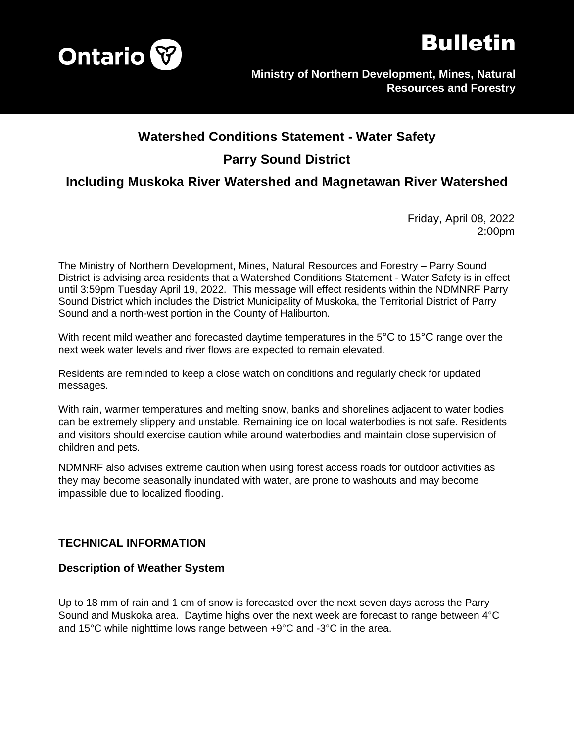



# **Watershed Conditions Statement - Water Safety Parry Sound District**

# **Including Muskoka River Watershed and Magnetawan River Watershed**

Friday, April 08, 2022 2:00pm

The Ministry of Northern Development, Mines, Natural Resources and Forestry – Parry Sound District is advising area residents that a Watershed Conditions Statement - Water Safety is in effect until 3:59pm Tuesday April 19, 2022. This message will effect residents within the NDMNRF Parry Sound District which includes the District Municipality of Muskoka, the Territorial District of Parry Sound and a north-west portion in the County of Haliburton.

With recent mild weather and forecasted daytime temperatures in the 5<sup>o</sup>C to 15<sup>o</sup>C range over the next week water levels and river flows are expected to remain elevated.

Residents are reminded to keep a close watch on conditions and regularly check for updated messages.

With rain, warmer temperatures and melting snow, banks and shorelines adjacent to water bodies can be extremely slippery and unstable. Remaining ice on local waterbodies is not safe. Residents and visitors should exercise caution while around waterbodies and maintain close supervision of children and pets.

NDMNRF also advises extreme caution when using forest access roads for outdoor activities as they may become seasonally inundated with water, are prone to washouts and may become impassible due to localized flooding.

# **TECHNICAL INFORMATION**

#### **Description of Weather System**

Up to 18 mm of rain and 1 cm of snow is forecasted over the next seven days across the Parry Sound and Muskoka area. Daytime highs over the next week are forecast to range between 4°C and 15°C while nighttime lows range between +9°C and -3°C in the area.